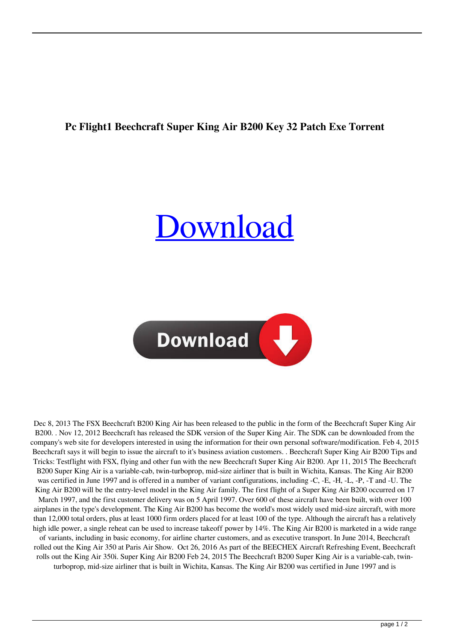## **Pc Flight1 Beechcraft Super King Air B200 Key 32 Patch Exe Torrent**

## [Download](http://evacdir.com/esau/ZG93bmxvYWR8SmExTVd0NE5IeDhNVFkxTWpjME1EZzJObng4TWpVM05IeDhLRTBwSUhKbFlXUXRZbXh2WnlCYlJtRnpkQ0JIUlU1ZA.fournet/puffing/barr.scarring?ZmxpZ2h0MSBiZWVjaGNyYWZ0IHN1cGVyIGtpbmcgYWlyIGIyMDAgY3JhY2tlZAZmx=stainforth)



Dec 8, 2013 The FSX Beechcraft B200 King Air has been released to the public in the form of the Beechcraft Super King Air B200. . Nov 12, 2012 Beechcraft has released the SDK version of the Super King Air. The SDK can be downloaded from the company's web site for developers interested in using the information for their own personal software/modification. Feb 4, 2015 Beechcraft says it will begin to issue the aircraft to it's business aviation customers. . Beechcraft Super King Air B200 Tips and Tricks: Testflight with FSX, flying and other fun with the new Beechcraft Super King Air B200. Apr 11, 2015 The Beechcraft B200 Super King Air is a variable-cab, twin-turboprop, mid-size airliner that is built in Wichita, Kansas. The King Air B200 was certified in June 1997 and is offered in a number of variant configurations, including -C, -E, -H, -L, -P, -T and -U. The King Air B200 will be the entry-level model in the King Air family. The first flight of a Super King Air B200 occurred on 17 March 1997, and the first customer delivery was on 5 April 1997. Over 600 of these aircraft have been built, with over 100 airplanes in the type's development. The King Air B200 has become the world's most widely used mid-size aircraft, with more than 12,000 total orders, plus at least 1000 firm orders placed for at least 100 of the type. Although the aircraft has a relatively high idle power, a single reheat can be used to increase takeoff power by 14%. The King Air B200 is marketed in a wide range of variants, including in basic economy, for airline charter customers, and as executive transport. In June 2014, Beechcraft rolled out the King Air 350 at Paris Air Show. Oct 26, 2016 As part of the BEECHEX Aircraft Refreshing Event, Beechcraft rolls out the King Air 350i. Super King Air B200 Feb 24, 2015 The Beechcraft B200 Super King Air is a variable-cab, twinturboprop, mid-size airliner that is built in Wichita, Kansas. The King Air B200 was certified in June 1997 and is